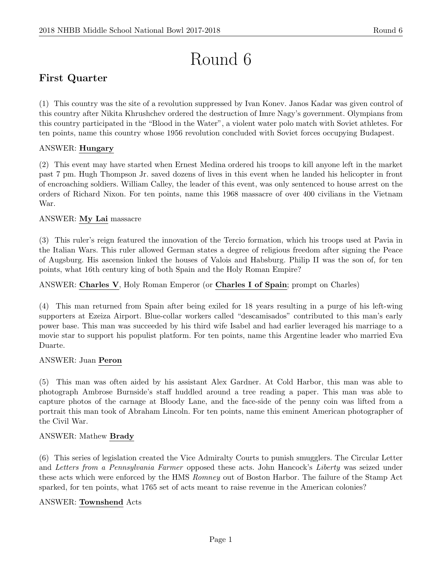# Round 6

# First Quarter

(1) This country was the site of a revolution suppressed by Ivan Konev. Janos Kadar was given control of this country after Nikita Khrushchev ordered the destruction of Imre Nagy's government. Olympians from this country participated in the "Blood in the Water", a violent water polo match with Soviet athletes. For ten points, name this country whose 1956 revolution concluded with Soviet forces occupying Budapest.

# ANSWER: Hungary

(2) This event may have started when Ernest Medina ordered his troops to kill anyone left in the market past 7 pm. Hugh Thompson Jr. saved dozens of lives in this event when he landed his helicopter in front of encroaching soldiers. William Calley, the leader of this event, was only sentenced to house arrest on the orders of Richard Nixon. For ten points, name this 1968 massacre of over 400 civilians in the Vietnam War.

# ANSWER: My Lai massacre

(3) This ruler's reign featured the innovation of the Tercio formation, which his troops used at Pavia in the Italian Wars. This ruler allowed German states a degree of religious freedom after signing the Peace of Augsburg. His ascension linked the houses of Valois and Habsburg. Philip II was the son of, for ten points, what 16th century king of both Spain and the Holy Roman Empire?

### ANSWER: Charles V, Holy Roman Emperor (or Charles I of Spain; prompt on Charles)

(4) This man returned from Spain after being exiled for 18 years resulting in a purge of his left-wing supporters at Ezeiza Airport. Blue-collar workers called "descamisados" contributed to this man's early power base. This man was succeeded by his third wife Isabel and had earlier leveraged his marriage to a movie star to support his populist platform. For ten points, name this Argentine leader who married Eva Duarte.

#### ANSWER: Juan Peron

(5) This man was often aided by his assistant Alex Gardner. At Cold Harbor, this man was able to photograph Ambrose Burnside's staff huddled around a tree reading a paper. This man was able to capture photos of the carnage at Bloody Lane, and the face-side of the penny coin was lifted from a portrait this man took of Abraham Lincoln. For ten points, name this eminent American photographer of the Civil War.

#### ANSWER: Mathew Brady

(6) This series of legislation created the Vice Admiralty Courts to punish smugglers. The Circular Letter and Letters from a Pennsylvania Farmer opposed these acts. John Hancock's Liberty was seized under these acts which were enforced by the HMS Romney out of Boston Harbor. The failure of the Stamp Act sparked, for ten points, what 1765 set of acts meant to raise revenue in the American colonies?

#### ANSWER: Townshend Acts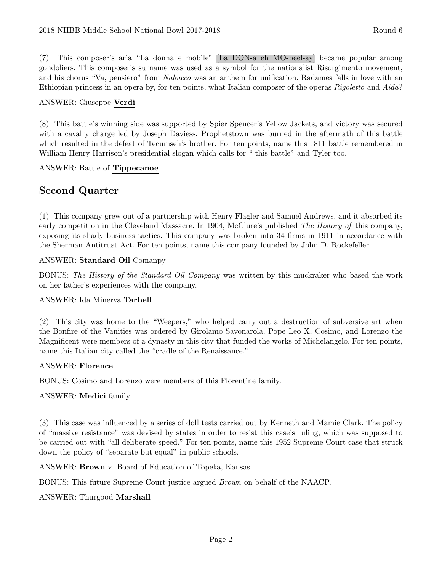(7) This composer's aria "La donna e mobile" [La DON-a eh MO-beel-ay] became popular among gondoliers. This composer's surname was used as a symbol for the nationalist Risorgimento movement, and his chorus "Va, pensiero" from Nabucco was an anthem for unification. Radames falls in love with an Ethiopian princess in an opera by, for ten points, what Italian composer of the operas Rigoletto and Aida?

#### ANSWER: Giuseppe Verdi

(8) This battle's winning side was supported by Spier Spencer's Yellow Jackets, and victory was secured with a cavalry charge led by Joseph Daviess. Prophetstown was burned in the aftermath of this battle which resulted in the defeat of Tecumseh's brother. For ten points, name this 1811 battle remembered in William Henry Harrison's presidential slogan which calls for " this battle" and Tyler too.

ANSWER: Battle of Tippecanoe

# Second Quarter

(1) This company grew out of a partnership with Henry Flagler and Samuel Andrews, and it absorbed its early competition in the Cleveland Massacre. In 1904, McClure's published The History of this company, exposing its shady business tactics. This company was broken into 34 firms in 1911 in accordance with the Sherman Antitrust Act. For ten points, name this company founded by John D. Rockefeller.

#### ANSWER: Standard Oil Comanpy

BONUS: The History of the Standard Oil Company was written by this muckraker who based the work on her father's experiences with the company.

#### ANSWER: Ida Minerva Tarbell

(2) This city was home to the "Weepers," who helped carry out a destruction of subversive art when the Bonfire of the Vanities was ordered by Girolamo Savonarola. Pope Leo X, Cosimo, and Lorenzo the Magnificent were members of a dynasty in this city that funded the works of Michelangelo. For ten points, name this Italian city called the "cradle of the Renaissance."

#### ANSWER: Florence

BONUS: Cosimo and Lorenzo were members of this Florentine family.

#### ANSWER: Medici family

(3) This case was influenced by a series of doll tests carried out by Kenneth and Mamie Clark. The policy of "massive resistance" was devised by states in order to resist this case's ruling, which was supposed to be carried out with "all deliberate speed." For ten points, name this 1952 Supreme Court case that struck down the policy of "separate but equal" in public schools.

ANSWER: Brown v. Board of Education of Topeka, Kansas

BONUS: This future Supreme Court justice argued Brown on behalf of the NAACP.

#### ANSWER: Thurgood Marshall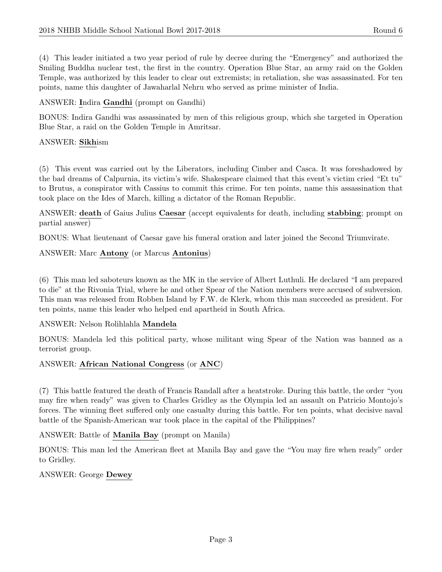(4) This leader initiated a two year period of rule by decree during the "Emergency" and authorized the Smiling Buddha nuclear test, the first in the country. Operation Blue Star, an army raid on the Golden Temple, was authorized by this leader to clear out extremists; in retaliation, she was assassinated. For ten points, name this daughter of Jawaharlal Nehru who served as prime minister of India.

# ANSWER: Indira Gandhi (prompt on Gandhi)

BONUS: Indira Gandhi was assassinated by men of this religious group, which she targeted in Operation Blue Star, a raid on the Golden Temple in Amritsar.

# ANSWER: Sikhism

(5) This event was carried out by the Liberators, including Cimber and Casca. It was foreshadowed by the bad dreams of Calpurnia, its victim's wife. Shakespeare claimed that this event's victim cried "Et tu" to Brutus, a conspirator with Cassius to commit this crime. For ten points, name this assassination that took place on the Ides of March, killing a dictator of the Roman Republic.

ANSWER: death of Gaius Julius Caesar (accept equivalents for death, including stabbing; prompt on partial answer)

BONUS: What lieutenant of Caesar gave his funeral oration and later joined the Second Triumvirate.

ANSWER: Marc Antony (or Marcus Antonius)

(6) This man led saboteurs known as the MK in the service of Albert Luthuli. He declared "I am prepared to die" at the Rivonia Trial, where he and other Spear of the Nation members were accused of subversion. This man was released from Robben Island by F.W. de Klerk, whom this man succeeded as president. For ten points, name this leader who helped end apartheid in South Africa.

#### ANSWER: Nelson Rolihlahla Mandela

BONUS: Mandela led this political party, whose militant wing Spear of the Nation was banned as a terrorist group.

# ANSWER: African National Congress (or ANC)

(7) This battle featured the death of Francis Randall after a heatstroke. During this battle, the order "you may fire when ready" was given to Charles Gridley as the Olympia led an assault on Patricio Montojo's forces. The winning fleet suffered only one casualty during this battle. For ten points, what decisive naval battle of the Spanish-American war took place in the capital of the Philippines?

ANSWER: Battle of Manila Bay (prompt on Manila)

BONUS: This man led the American fleet at Manila Bay and gave the "You may fire when ready" order to Gridley.

ANSWER: George Dewey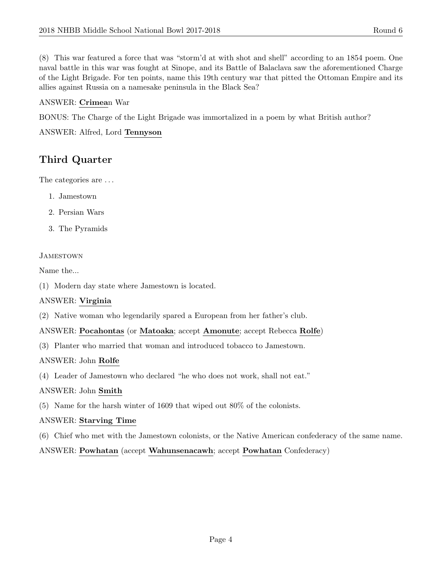(8) This war featured a force that was "storm'd at with shot and shell" according to an 1854 poem. One naval battle in this war was fought at Sinope, and its Battle of Balaclava saw the aforementioned Charge of the Light Brigade. For ten points, name this 19th century war that pitted the Ottoman Empire and its allies against Russia on a namesake peninsula in the Black Sea?

# ANSWER: Crimean War

BONUS: The Charge of the Light Brigade was immortalized in a poem by what British author?

ANSWER: Alfred, Lord Tennyson

# Third Quarter

The categories are . . .

- 1. Jamestown
- 2. Persian Wars
- 3. The Pyramids

# **JAMESTOWN**

Name the...

(1) Modern day state where Jamestown is located.

#### ANSWER: Virginia

(2) Native woman who legendarily spared a European from her father's club.

#### ANSWER: Pocahontas (or Matoaka; accept Amonute; accept Rebecca Rolfe)

(3) Planter who married that woman and introduced tobacco to Jamestown.

#### ANSWER: John Rolfe

(4) Leader of Jamestown who declared "he who does not work, shall not eat."

#### ANSWER: John Smith

(5) Name for the harsh winter of 1609 that wiped out 80% of the colonists.

#### ANSWER: Starving Time

(6) Chief who met with the Jamestown colonists, or the Native American confederacy of the same name.

ANSWER: Powhatan (accept Wahunsenacawh; accept Powhatan Confederacy)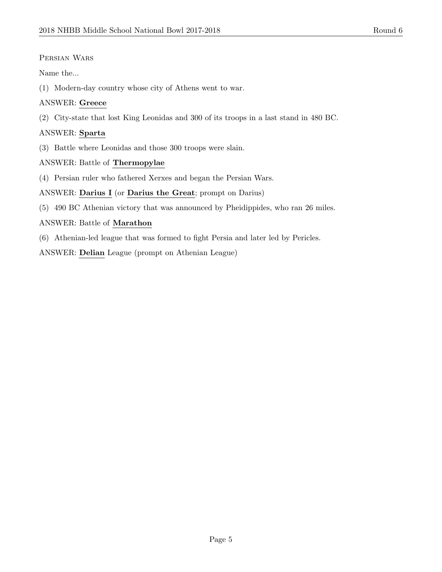#### Persian Wars

Name the...

(1) Modern-day country whose city of Athens went to war.

# ANSWER: Greece

(2) City-state that lost King Leonidas and 300 of its troops in a last stand in 480 BC.

# ANSWER: Sparta

(3) Battle where Leonidas and those 300 troops were slain.

# ANSWER: Battle of Thermopylae

(4) Persian ruler who fathered Xerxes and began the Persian Wars.

# ANSWER: Darius I (or Darius the Great; prompt on Darius)

(5) 490 BC Athenian victory that was announced by Pheidippides, who ran 26 miles.

# ANSWER: Battle of Marathon

(6) Athenian-led league that was formed to fight Persia and later led by Pericles.

ANSWER: Delian League (prompt on Athenian League)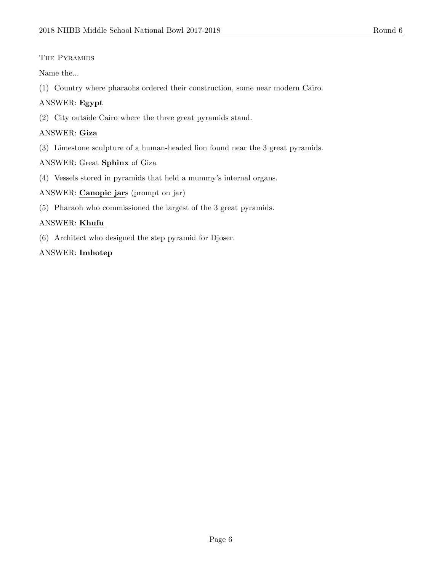# The Pyramids

Name the...

(1) Country where pharaohs ordered their construction, some near modern Cairo.

# ANSWER: Egypt

(2) City outside Cairo where the three great pyramids stand.

# ANSWER: Giza

(3) Limestone sculpture of a human-headed lion found near the 3 great pyramids.

# ANSWER: Great Sphinx of Giza

(4) Vessels stored in pyramids that held a mummy's internal organs.

# ANSWER: Canopic jars (prompt on jar)

(5) Pharaoh who commissioned the largest of the 3 great pyramids.

# ANSWER: Khufu

(6) Architect who designed the step pyramid for Djoser.

# ANSWER: Imhotep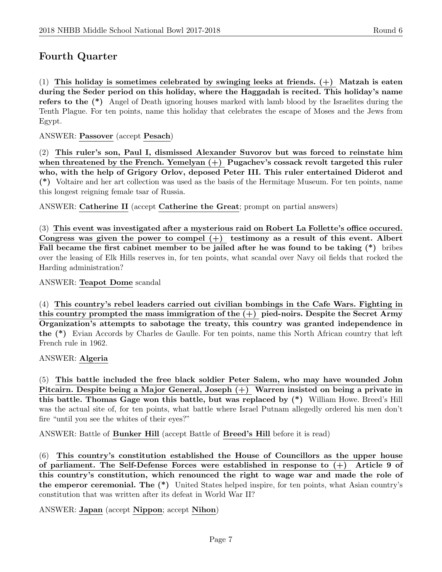# Fourth Quarter

(1) This holiday is sometimes celebrated by swinging leeks at friends.  $(+)$  Matzah is eaten during the Seder period on this holiday, where the Haggadah is recited. This holiday's name refers to the (\*) Angel of Death ignoring houses marked with lamb blood by the Israelites during the Tenth Plague. For ten points, name this holiday that celebrates the escape of Moses and the Jews from Egypt.

ANSWER: Passover (accept Pesach)

(2) This ruler's son, Paul I, dismissed Alexander Suvorov but was forced to reinstate him when threatened by the French. Yemelyan  $(+)$  Pugachev's cossack revolt targeted this ruler who, with the help of Grigory Orlov, deposed Peter III. This ruler entertained Diderot and (\*) Voltaire and her art collection was used as the basis of the Hermitage Museum. For ten points, name this longest reigning female tsar of Russia.

ANSWER: Catherine II (accept Catherine the Great; prompt on partial answers)

(3) This event was investigated after a mysterious raid on Robert La Follette's office occured. Congress was given the power to compel  $(+)$  testimony as a result of this event. Albert Fall became the first cabinet member to be jailed after he was found to be taking (\*) bribes over the leasing of Elk Hills reserves in, for ten points, what scandal over Navy oil fields that rocked the Harding administration?

ANSWER: Teapot Dome scandal

(4) This country's rebel leaders carried out civilian bombings in the Cafe Wars. Fighting in this country prompted the mass immigration of the  $(+)$  pied-noirs. Despite the Secret Army Organization's attempts to sabotage the treaty, this country was granted independence in the (\*) Evian Accords by Charles de Gaulle. For ten points, name this North African country that left French rule in 1962.

#### ANSWER: Algeria

(5) This battle included the free black soldier Peter Salem, who may have wounded John Pitcairn. Despite being a Major General, Joseph (+) Warren insisted on being a private in this battle. Thomas Gage won this battle, but was replaced by (\*) William Howe. Breed's Hill was the actual site of, for ten points, what battle where Israel Putnam allegedly ordered his men don't fire "until you see the whites of their eyes?"

ANSWER: Battle of Bunker Hill (accept Battle of Breed's Hill before it is read)

(6) This country's constitution established the House of Councillors as the upper house of parliament. The Self-Defense Forces were established in response to  $(+)$  Article 9 of this country's constitution, which renounced the right to wage war and made the role of the emperor ceremonial. The (\*) United States helped inspire, for ten points, what Asian country's constitution that was written after its defeat in World War II?

ANSWER: Japan (accept Nippon; accept Nihon)